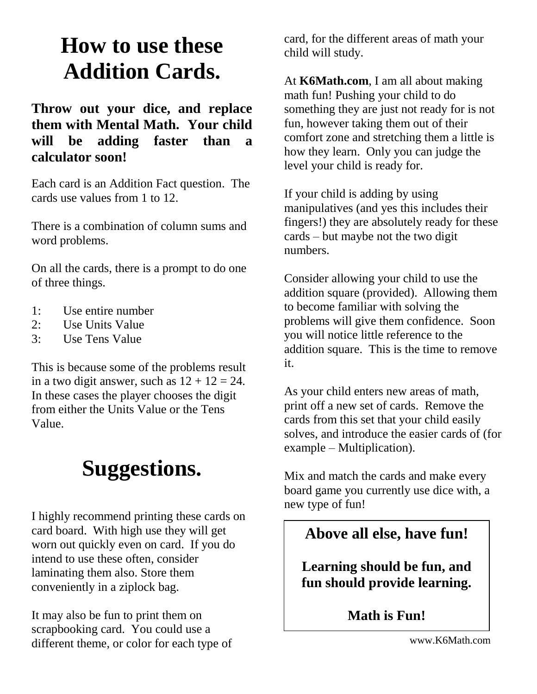## **How to use these Addition Cards.**

#### **Throw out your dice, and replace them with Mental Math. Your child will be adding faster than a calculator soon!**

Each card is an Addition Fact question. The cards use values from 1 to 12.

There is a combination of column sums and word problems.

On all the cards, there is a prompt to do one of three things.

- 1: Use entire number
- 2: Use Units Value
- 3: Use Tens Value

This is because some of the problems result in a two digit answer, such as  $12 + 12 = 24$ . In these cases the player chooses the digit from either the Units Value or the Tens Value.

### **Suggestions.**

I highly recommend printing these cards on card board. With high use they will get worn out quickly even on card. If you do intend to use these often, consider laminating them also. Store them conveniently in a ziplock bag.

It may also be fun to print them on scrapbooking card. You could use a different theme, or color for each type of card, for the different areas of math your child will study.

At **K6Math.com**, I am all about making math fun! Pushing your child to do something they are just not ready for is not fun, however taking them out of their comfort zone and stretching them a little is how they learn. Only you can judge the level your child is ready for.

If your child is adding by using manipulatives (and yes this includes their fingers!) they are absolutely ready for these cards – but maybe not the two digit numbers.

Consider allowing your child to use the addition square (provided). Allowing them to become familiar with solving the problems will give them confidence. Soon you will notice little reference to the addition square. This is the time to remove it.

As your child enters new areas of math, print off a new set of cards. Remove the cards from this set that your child easily solves, and introduce the easier cards of (for example – Multiplication).

Mix and match the cards and make every board game you currently use dice with, a new type of fun!

#### **Above all else, have fun!**

**Learning should be fun, and fun should provide learning.**

**Math is Fun!**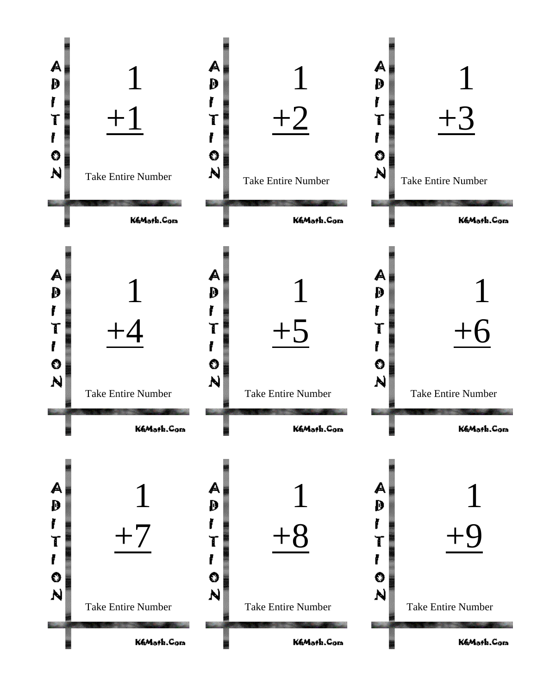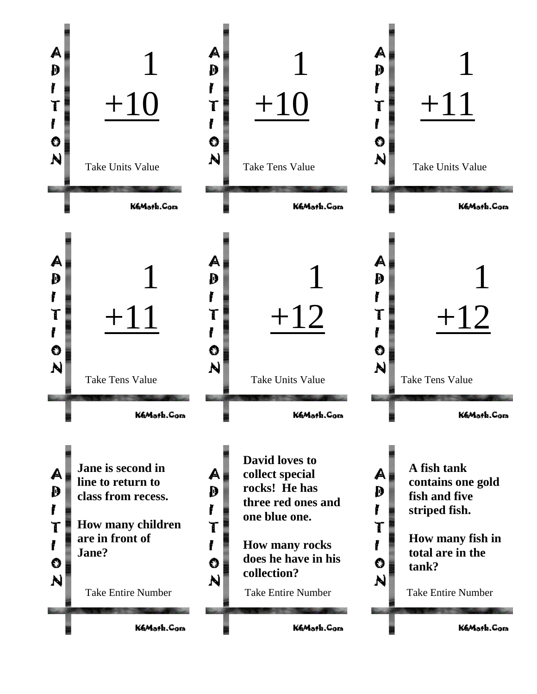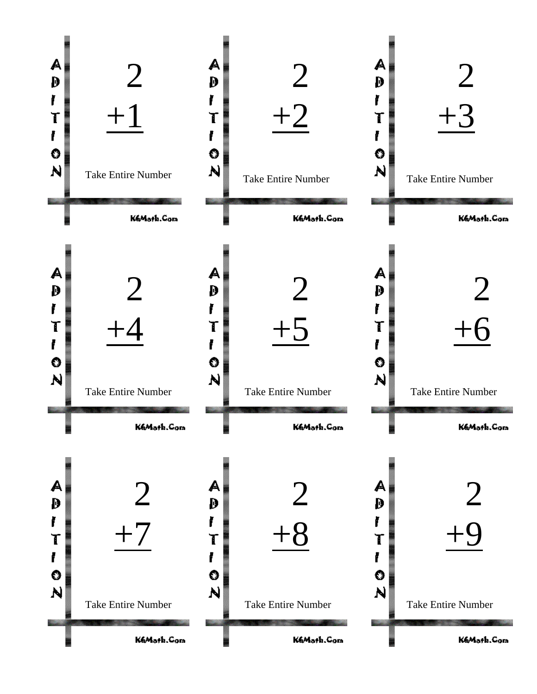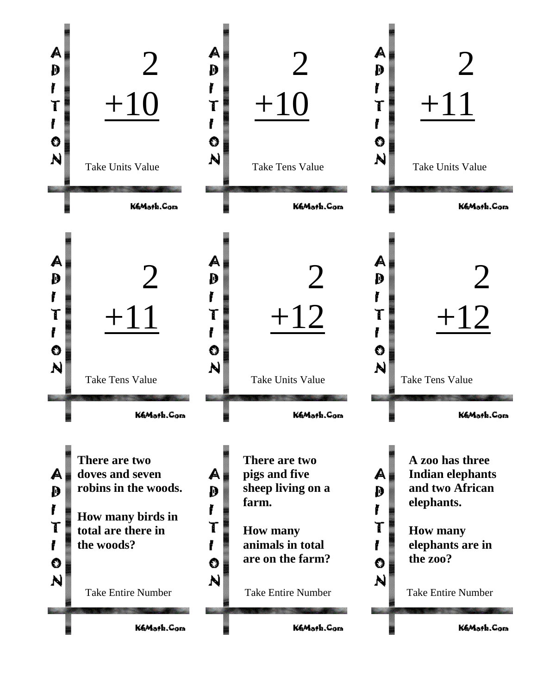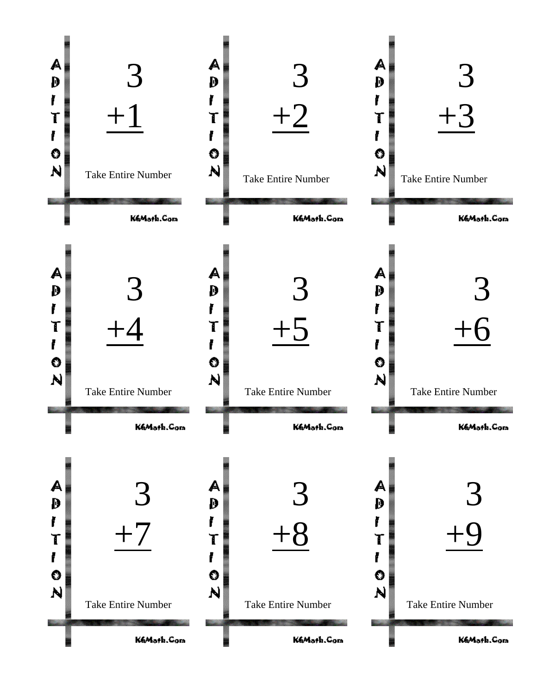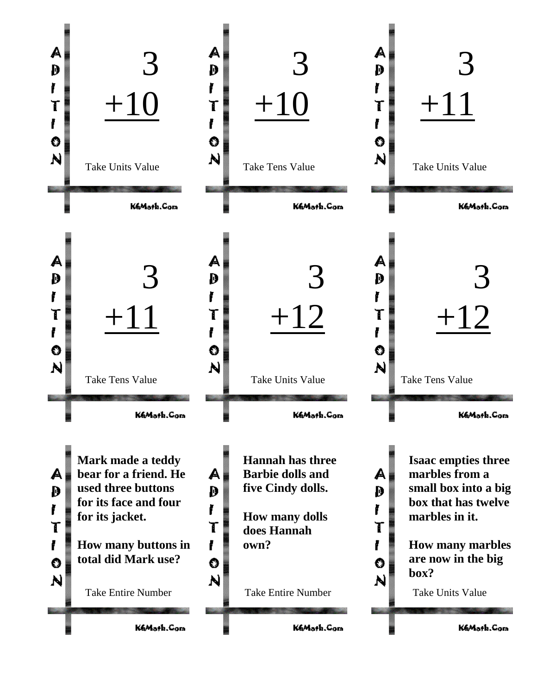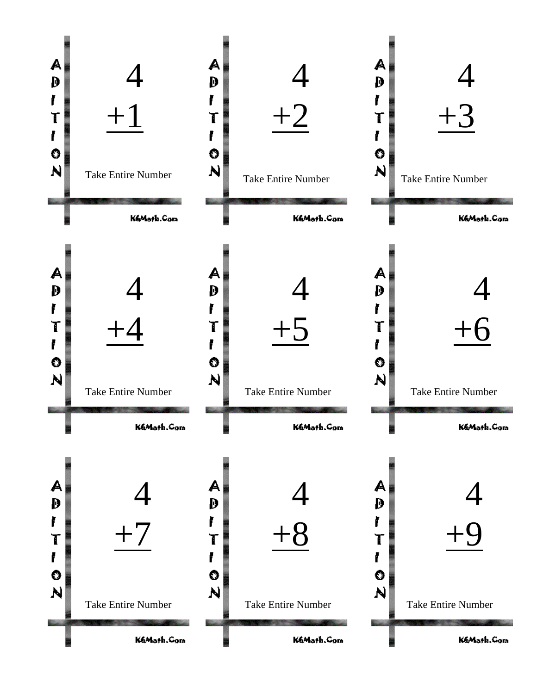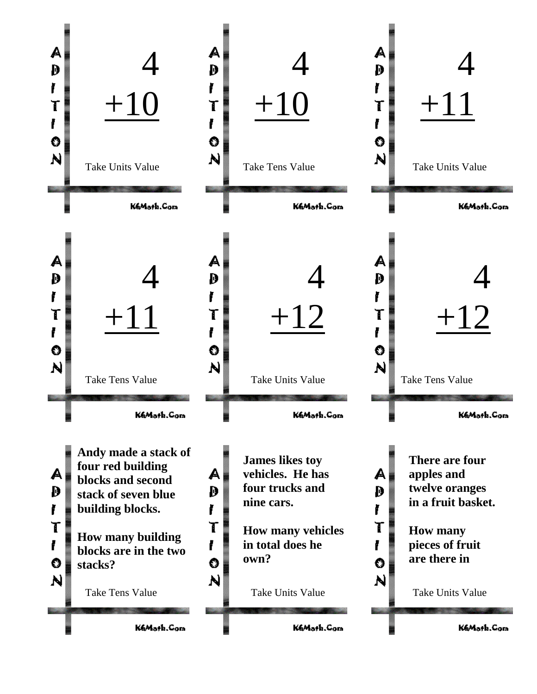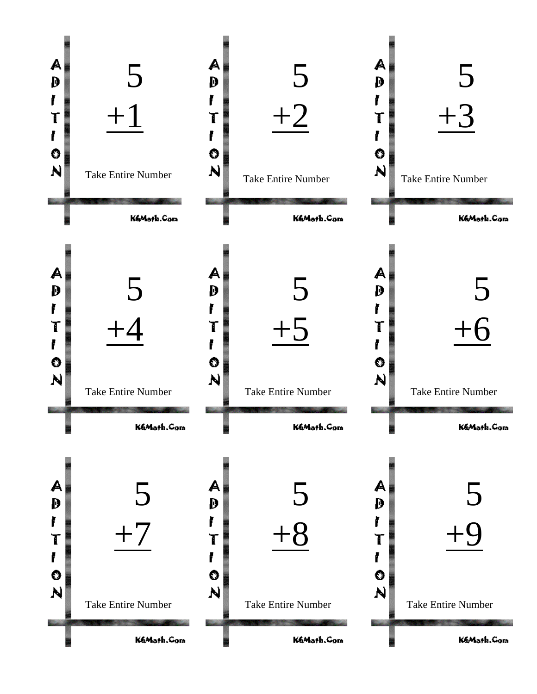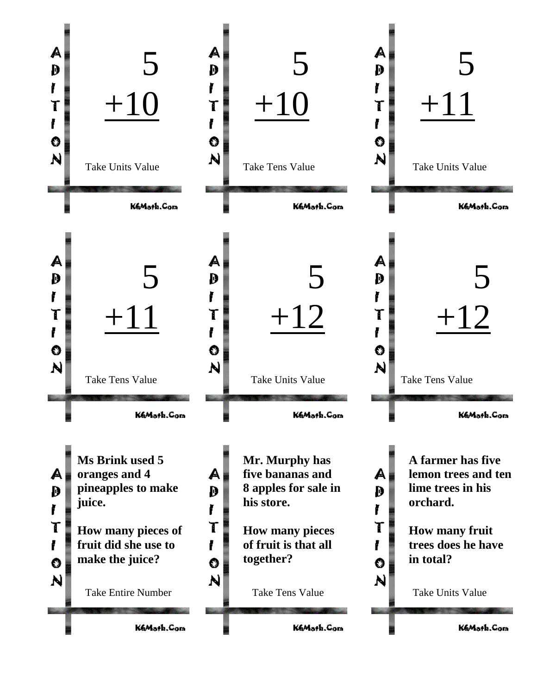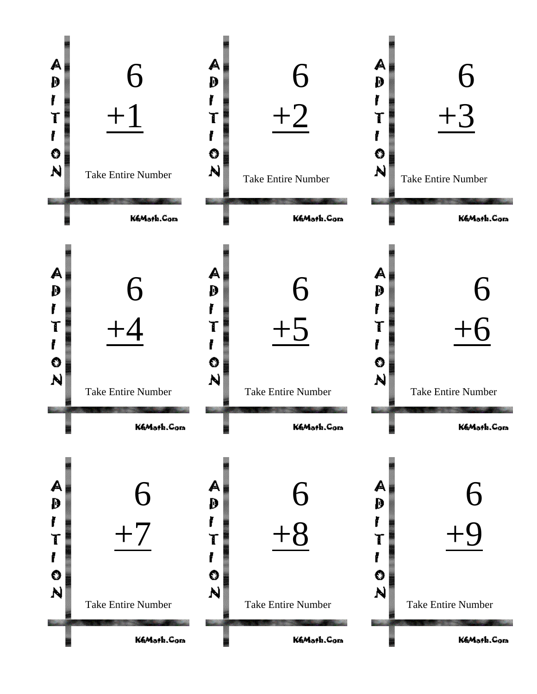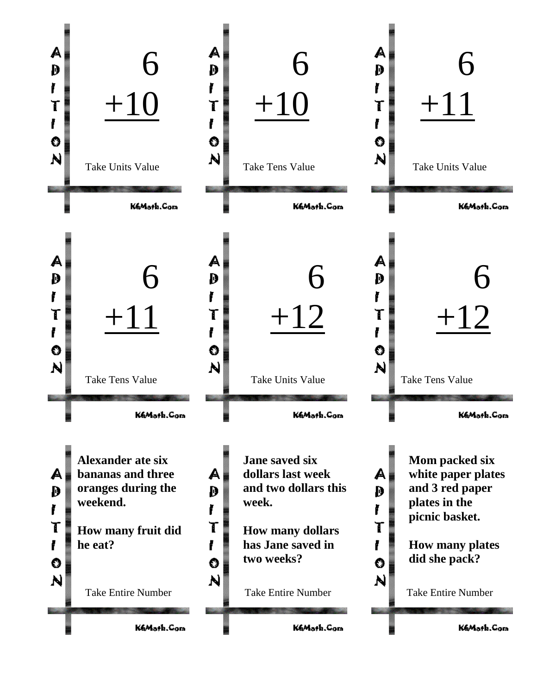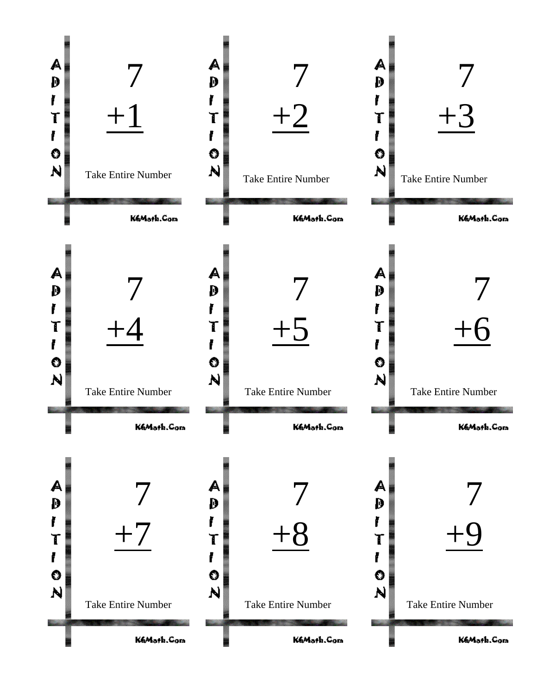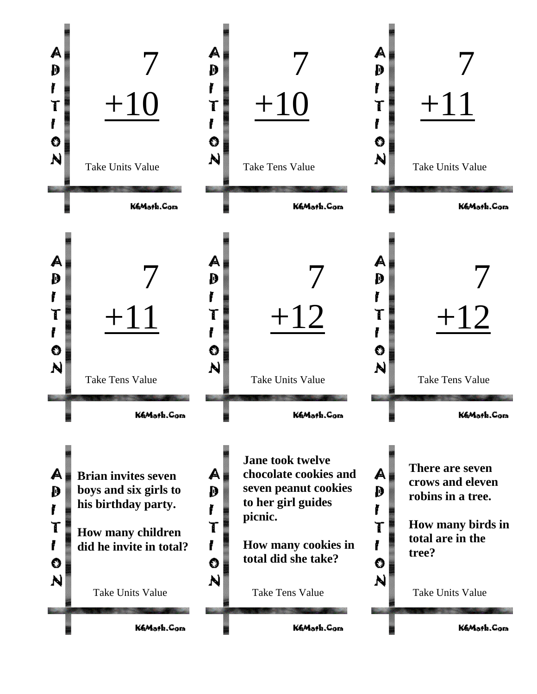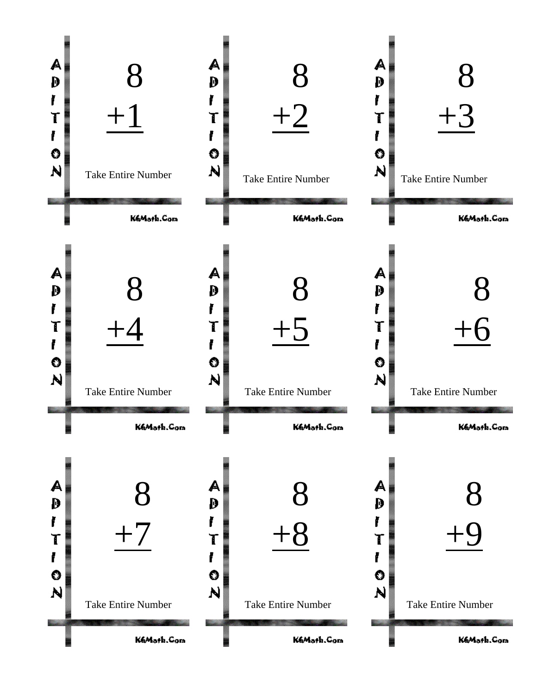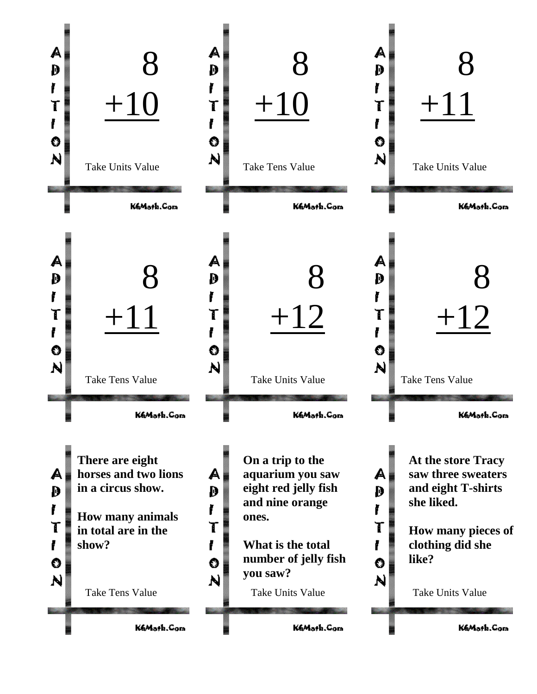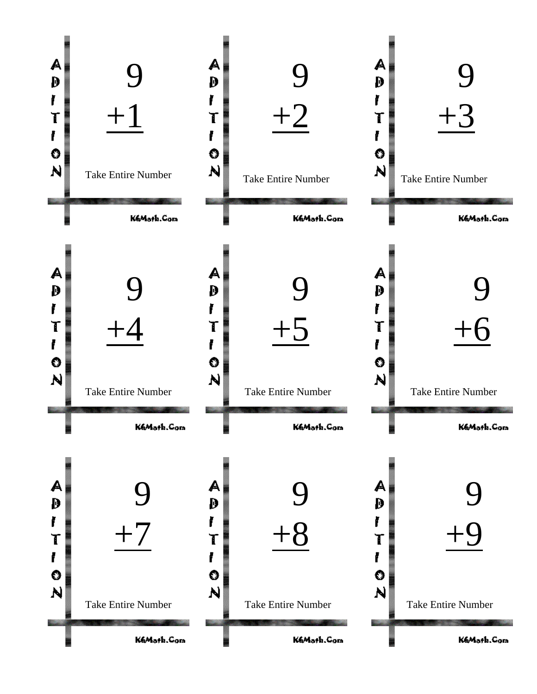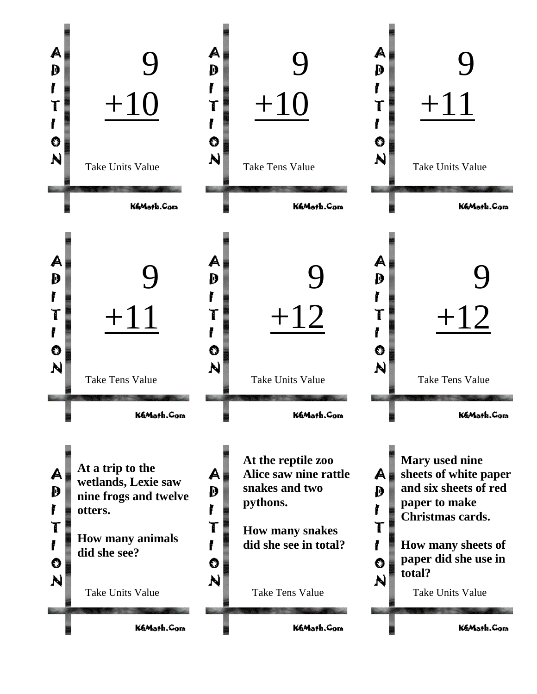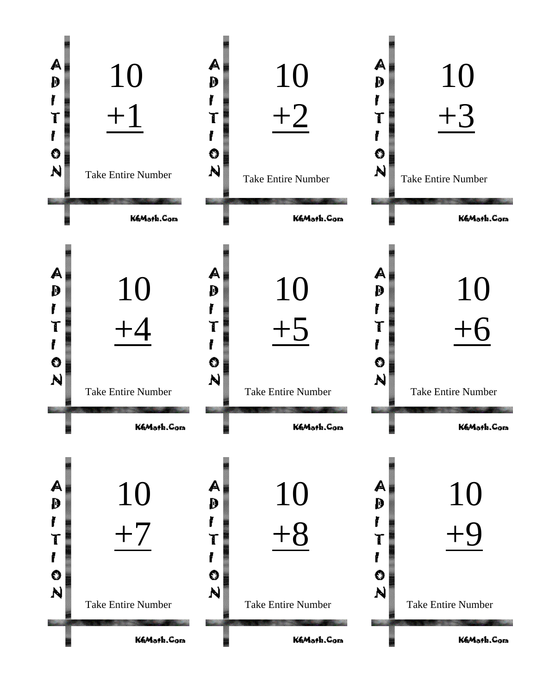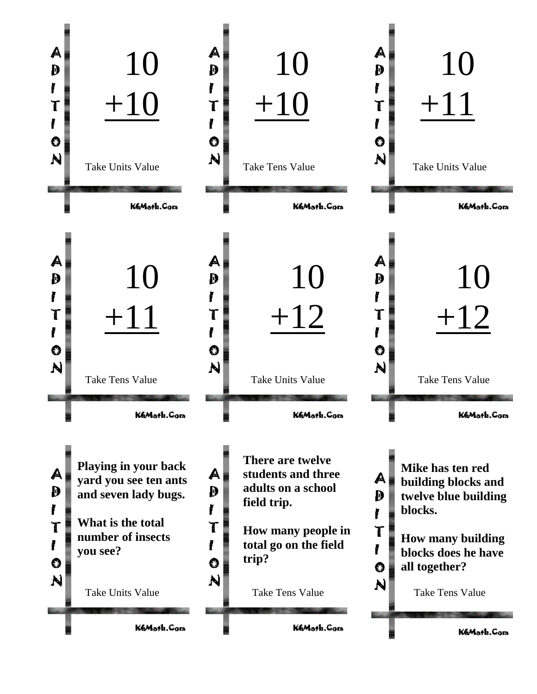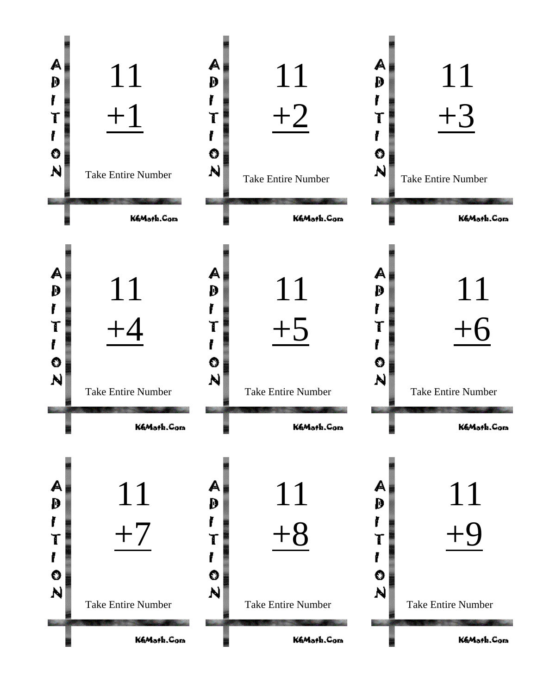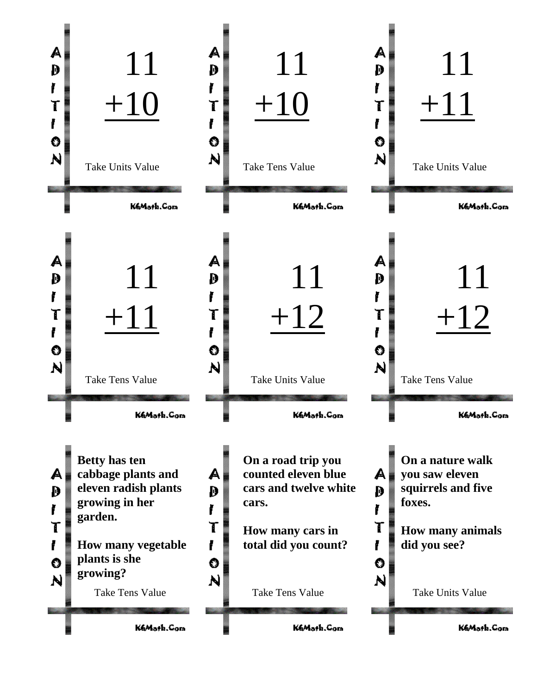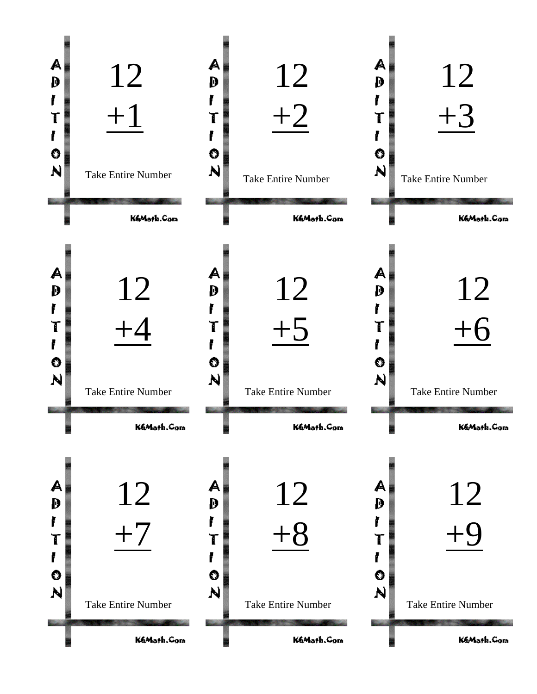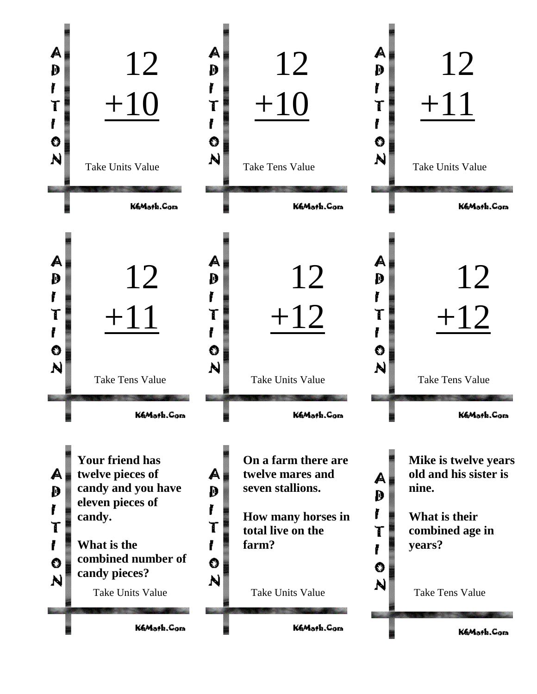